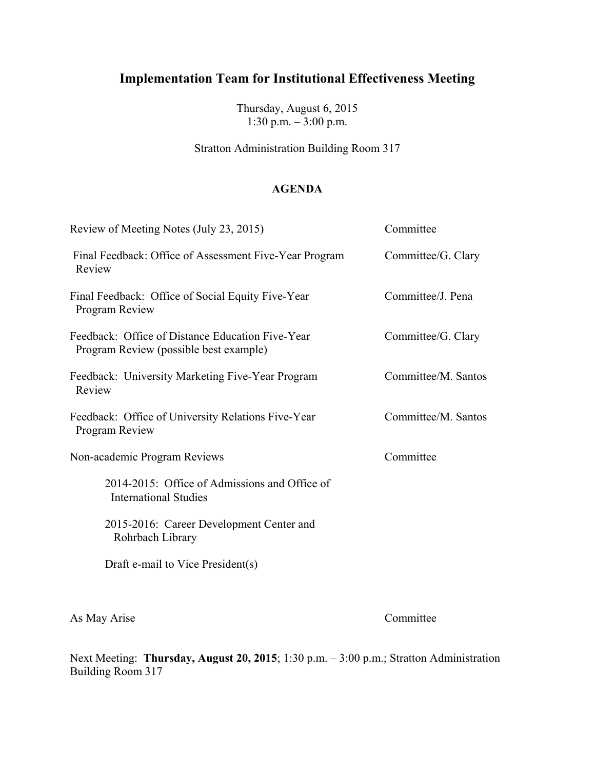Thursday, August 6, 2015 1:30 p.m.  $-$  3:00 p.m.

Stratton Administration Building Room 317

### **AGENDA**

| Review of Meeting Notes (July 23, 2015)                                                    | Committee           |
|--------------------------------------------------------------------------------------------|---------------------|
| Final Feedback: Office of Assessment Five-Year Program<br>Review                           | Committee/G. Clary  |
| Final Feedback: Office of Social Equity Five-Year<br>Program Review                        | Committee/J. Pena   |
| Feedback: Office of Distance Education Five-Year<br>Program Review (possible best example) | Committee/G. Clary  |
| Feedback: University Marketing Five-Year Program<br>Review                                 | Committee/M. Santos |
| Feedback: Office of University Relations Five-Year<br>Program Review                       | Committee/M. Santos |
| Non-academic Program Reviews                                                               | Committee           |
| 2014-2015: Office of Admissions and Office of<br><b>International Studies</b>              |                     |
| 2015-2016: Career Development Center and<br>Rohrbach Library                               |                     |
| Draft e-mail to Vice President(s)                                                          |                     |
|                                                                                            |                     |

As May Arise Committee

Next Meeting: **Thursday, August 20, 2015**; 1:30 p.m. – 3:00 p.m.; Stratton Administration Building Room 317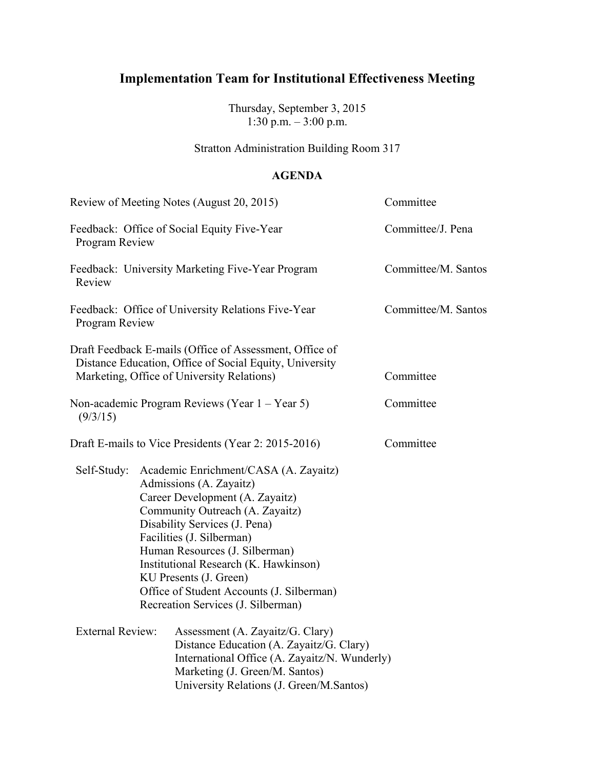Thursday, September 3, 2015 1:30 p.m. – 3:00 p.m.

### Stratton Administration Building Room 317

#### **AGENDA**

|                         | Review of Meeting Notes (August 20, 2015)                                                                                                                                                                                                                                                                                                                                                    | Committee           |
|-------------------------|----------------------------------------------------------------------------------------------------------------------------------------------------------------------------------------------------------------------------------------------------------------------------------------------------------------------------------------------------------------------------------------------|---------------------|
| Program Review          | Feedback: Office of Social Equity Five-Year                                                                                                                                                                                                                                                                                                                                                  | Committee/J. Pena   |
| Review                  | Feedback: University Marketing Five-Year Program                                                                                                                                                                                                                                                                                                                                             | Committee/M. Santos |
| Program Review          | Feedback: Office of University Relations Five-Year                                                                                                                                                                                                                                                                                                                                           | Committee/M. Santos |
|                         | Draft Feedback E-mails (Office of Assessment, Office of<br>Distance Education, Office of Social Equity, University<br>Marketing, Office of University Relations)                                                                                                                                                                                                                             | Committee           |
| (9/3/15)                | Non-academic Program Reviews (Year $1 -$ Year 5)                                                                                                                                                                                                                                                                                                                                             | Committee           |
|                         | Draft E-mails to Vice Presidents (Year 2: 2015-2016)                                                                                                                                                                                                                                                                                                                                         | Committee           |
| Self-Study:             | Academic Enrichment/CASA (A. Zayaitz)<br>Admissions (A. Zayaitz)<br>Career Development (A. Zayaitz)<br>Community Outreach (A. Zayaitz)<br>Disability Services (J. Pena)<br>Facilities (J. Silberman)<br>Human Resources (J. Silberman)<br>Institutional Research (K. Hawkinson)<br>KU Presents (J. Green)<br>Office of Student Accounts (J. Silberman)<br>Recreation Services (J. Silberman) |                     |
| <b>External Review:</b> | Assessment (A. Zayaitz/G. Clary)<br>Distance Education (A. Zayaitz/G. Clary)<br>International Office (A. Zayaitz/N. Wunderly)<br>Marketing (J. Green/M. Santos)<br>University Relations (J. Green/M.Santos)                                                                                                                                                                                  |                     |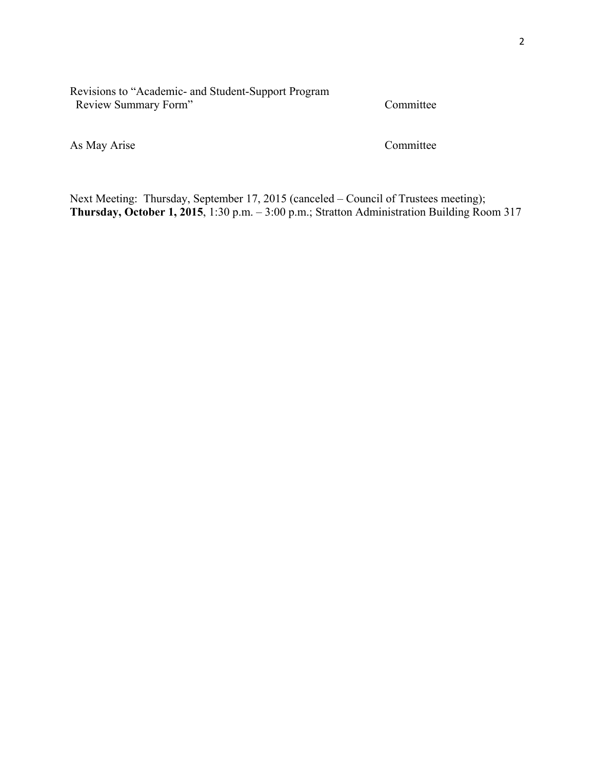#### Revisions to "Academic- and Student-Support Program Review Summary Form" Committee

As May Arise Committee

Next Meeting: Thursday, September 17, 2015 (canceled – Council of Trustees meeting); **Thursday, October 1, 2015**, 1:30 p.m. – 3:00 p.m.; Stratton Administration Building Room 317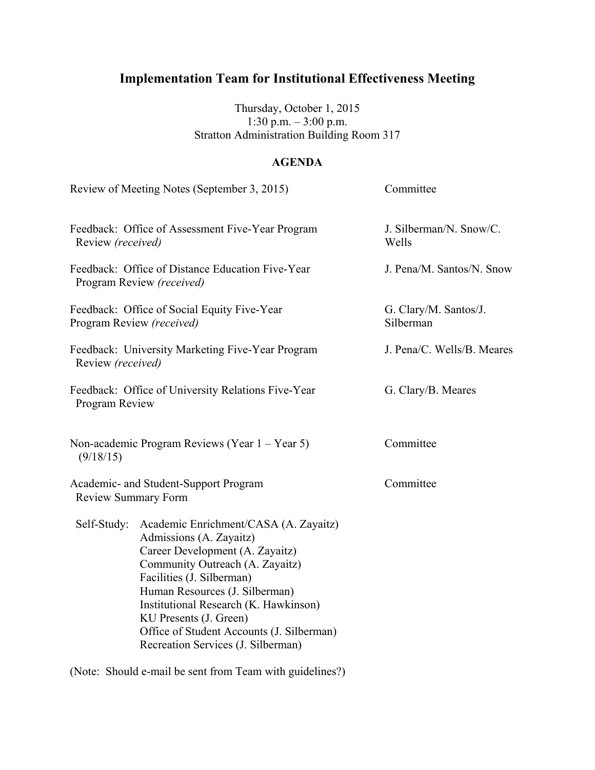Thursday, October 1, 2015 1:30 p.m. – 3:00 p.m. Stratton Administration Building Room 317

### **AGENDA**

| Review of Meeting Notes (September 3, 2015)                                                                                                                                                                                                                                                                                                                 | Committee                          |
|-------------------------------------------------------------------------------------------------------------------------------------------------------------------------------------------------------------------------------------------------------------------------------------------------------------------------------------------------------------|------------------------------------|
| Feedback: Office of Assessment Five-Year Program<br>Review (received)                                                                                                                                                                                                                                                                                       | J. Silberman/N. Snow/C.<br>Wells   |
| Feedback: Office of Distance Education Five-Year<br>Program Review (received)                                                                                                                                                                                                                                                                               | J. Pena/M. Santos/N. Snow          |
| Feedback: Office of Social Equity Five-Year<br>Program Review (received)                                                                                                                                                                                                                                                                                    | G. Clary/M. Santos/J.<br>Silberman |
| Feedback: University Marketing Five-Year Program<br>Review (received)                                                                                                                                                                                                                                                                                       | J. Pena/C. Wells/B. Meares         |
| Feedback: Office of University Relations Five-Year<br>Program Review                                                                                                                                                                                                                                                                                        | G. Clary/B. Meares                 |
| Non-academic Program Reviews (Year 1 - Year 5)                                                                                                                                                                                                                                                                                                              | Committee                          |
| Academic- and Student-Support Program<br><b>Review Summary Form</b>                                                                                                                                                                                                                                                                                         | Committee                          |
| Academic Enrichment/CASA (A. Zayaitz)<br>Admissions (A. Zayaitz)<br>Career Development (A. Zayaitz)<br>Community Outreach (A. Zayaitz)<br>Facilities (J. Silberman)<br>Human Resources (J. Silberman)<br>Institutional Research (K. Hawkinson)<br>KU Presents (J. Green)<br>Office of Student Accounts (J. Silberman)<br>Recreation Services (J. Silberman) |                                    |
|                                                                                                                                                                                                                                                                                                                                                             |                                    |

(Note: Should e-mail be sent from Team with guidelines?)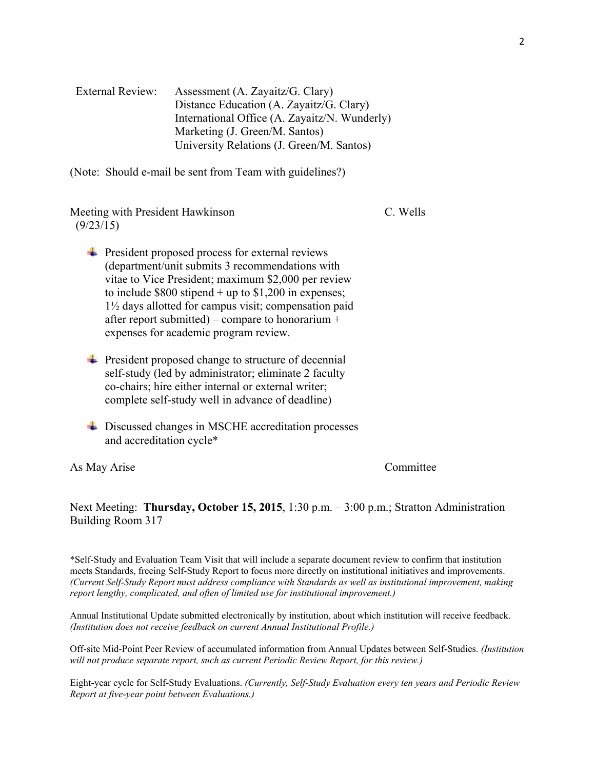| External Review: | Assessment (A. Zayaitz/G. Clary)              |
|------------------|-----------------------------------------------|
|                  | Distance Education (A. Zayaitz/G. Clary)      |
|                  | International Office (A. Zayaitz/N. Wunderly) |
|                  | Marketing (J. Green/M. Santos)                |
|                  | University Relations (J. Green/M. Santos)     |

(Note: Should e-mail be sent from Team with guidelines?)

Meeting with President Hawkinson C. Wells (9/23/15)

- $\overline{\phantom{a}}$  President proposed process for external reviews (department/unit submits 3 recommendations with vitae to Vice President; maximum \$2,000 per review to include  $$800$  stipend + up to  $$1,200$  in expenses; 1½ days allotted for campus visit; compensation paid after report submitted) – compare to honorarium  $+$ expenses for academic program review.
- $\overline{\phantom{a}}$  President proposed change to structure of decennial self-study (led by administrator; eliminate 2 faculty co-chairs; hire either internal or external writer; complete self-study well in advance of deadline)
- **↓** Discussed changes in MSCHE accreditation processes and accreditation cycle\*

As May Arise Committee

Next Meeting: **Thursday, October 15, 2015**, 1:30 p.m. – 3:00 p.m.; Stratton Administration Building Room 317

\*Self-Study and Evaluation Team Visit that will include a separate document review to confirm that institution meets Standards, freeing Self-Study Report to focus more directly on institutional initiatives and improvements. *(Current Self-Study Report must address compliance with Standards as well as institutional improvement, making report lengthy, complicated, and often of limited use for institutional improvement.)*

Annual Institutional Update submitted electronically by institution, about which institution will receive feedback. *(Institution does not receive feedback on current Annual Institutional Profile.)*

Off-site Mid-Point Peer Review of accumulated information from Annual Updates between Self-Studies. *(Institution will not produce separate report, such as current Periodic Review Report, for this review.)*

Eight-year cycle for Self-Study Evaluations. *(Currently, Self-Study Evaluation every ten years and Periodic Review Report at five-year point between Evaluations.)*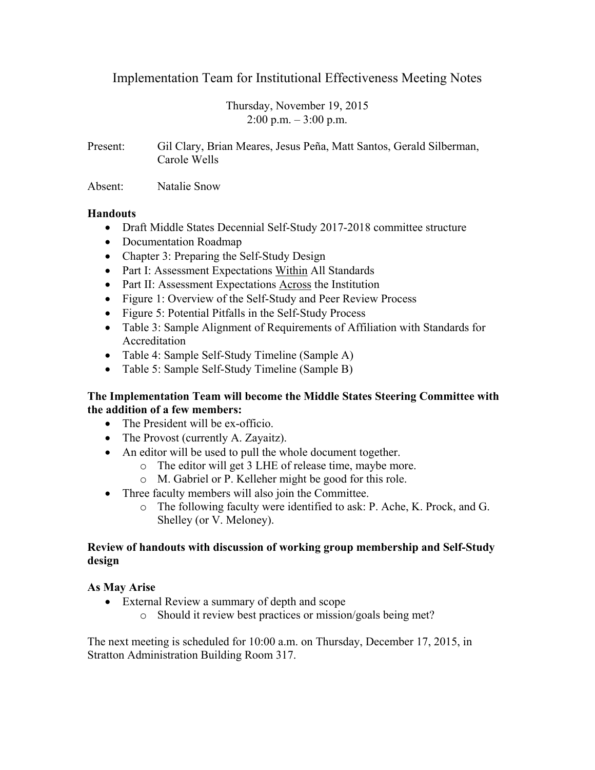Thursday, November 19, 2015  $2:00$  p.m.  $-3:00$  p.m.

Present: Gil Clary, Brian Meares, Jesus Peña, Matt Santos, Gerald Silberman, Carole Wells

Absent: Natalie Snow

#### **Handouts**

- Draft Middle States Decennial Self-Study 2017-2018 committee structure
- Documentation Roadmap
- Chapter 3: Preparing the Self-Study Design
- Part I: Assessment Expectations Within All Standards
- Part II: Assessment Expectations Across the Institution
- Figure 1: Overview of the Self-Study and Peer Review Process
- Figure 5: Potential Pitfalls in the Self-Study Process
- Table 3: Sample Alignment of Requirements of Affiliation with Standards for Accreditation
- Table 4: Sample Self-Study Timeline (Sample A)
- Table 5: Sample Self-Study Timeline (Sample B)

#### **The Implementation Team will become the Middle States Steering Committee with the addition of a few members:**

- The President will be ex-officio.
- The Provost (currently A. Zayaitz).
- An editor will be used to pull the whole document together.
	- o The editor will get 3 LHE of release time, maybe more.
	- o M. Gabriel or P. Kelleher might be good for this role.
- Three faculty members will also join the Committee.
	- o The following faculty were identified to ask: P. Ache, K. Prock, and G. Shelley (or V. Meloney).

#### **Review of handouts with discussion of working group membership and Self-Study design**

### **As May Arise**

- External Review a summary of depth and scope
	- o Should it review best practices or mission/goals being met?

The next meeting is scheduled for 10:00 a.m. on Thursday, December 17, 2015, in Stratton Administration Building Room 317.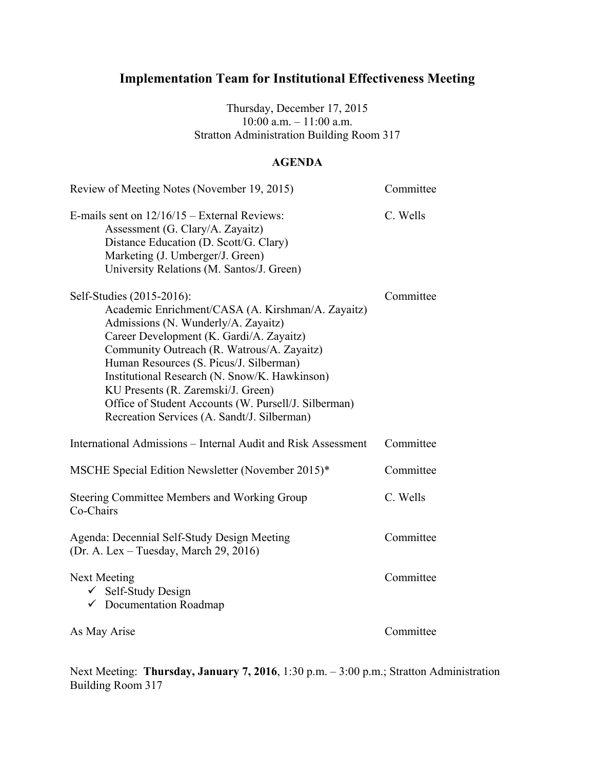Thursday, December 17, 2015 10:00 a.m. – 11:00 a.m. Stratton Administration Building Room 317

### **AGENDA**

| Review of Meeting Notes (November 19, 2015)                                                                                                                                                                                                                                                                                                                                                                                                              | Committee |
|----------------------------------------------------------------------------------------------------------------------------------------------------------------------------------------------------------------------------------------------------------------------------------------------------------------------------------------------------------------------------------------------------------------------------------------------------------|-----------|
| E-mails sent on $12/16/15$ – External Reviews:<br>Assessment (G. Clary/A. Zayaitz)<br>Distance Education (D. Scott/G. Clary)<br>Marketing (J. Umberger/J. Green)<br>University Relations (M. Santos/J. Green)                                                                                                                                                                                                                                            | C. Wells  |
| Self-Studies (2015-2016):<br>Academic Enrichment/CASA (A. Kirshman/A. Zayaitz)<br>Admissions (N. Wunderly/A. Zayaitz)<br>Career Development (K. Gardi/A. Zayaitz)<br>Community Outreach (R. Watrous/A. Zayaitz)<br>Human Resources (S. Picus/J. Silberman)<br>Institutional Research (N. Snow/K. Hawkinson)<br>KU Presents (R. Zaremski/J. Green)<br>Office of Student Accounts (W. Pursell/J. Silberman)<br>Recreation Services (A. Sandt/J. Silberman) | Committee |
| International Admissions – Internal Audit and Risk Assessment                                                                                                                                                                                                                                                                                                                                                                                            | Committee |
| MSCHE Special Edition Newsletter (November 2015)*                                                                                                                                                                                                                                                                                                                                                                                                        | Committee |
| Steering Committee Members and Working Group<br>Co-Chairs                                                                                                                                                                                                                                                                                                                                                                                                | C. Wells  |
| Agenda: Decennial Self-Study Design Meeting<br>(Dr. A. Lex – Tuesday, March 29, 2016)                                                                                                                                                                                                                                                                                                                                                                    | Committee |
| Next Meeting<br>✓ Self-Study Design<br>$\checkmark$ Documentation Roadmap                                                                                                                                                                                                                                                                                                                                                                                | Committee |
| As May Arise                                                                                                                                                                                                                                                                                                                                                                                                                                             | Committee |

Next Meeting: **Thursday, January 7, 2016**, 1:30 p.m. – 3:00 p.m.; Stratton Administration Building Room 317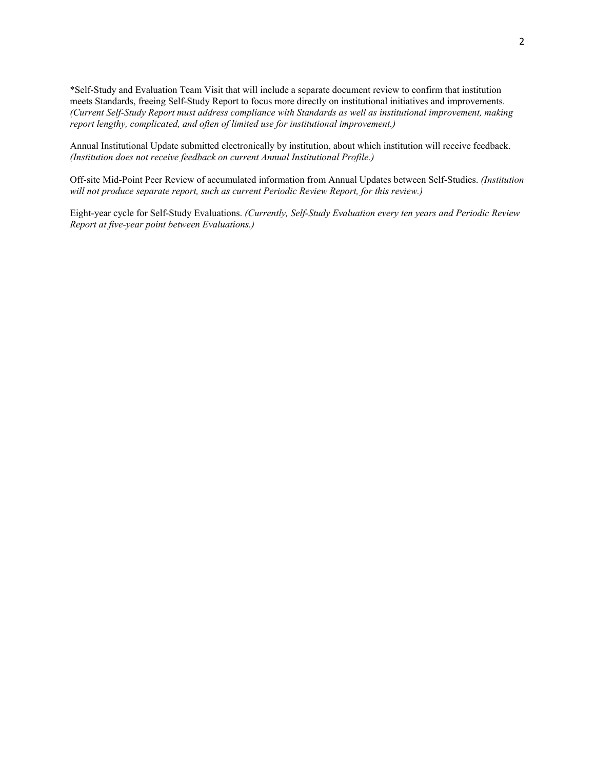\*Self-Study and Evaluation Team Visit that will include a separate document review to confirm that institution meets Standards, freeing Self-Study Report to focus more directly on institutional initiatives and improvements. *(Current Self-Study Report must address compliance with Standards as well as institutional improvement, making report lengthy, complicated, and often of limited use for institutional improvement.)*

Annual Institutional Update submitted electronically by institution, about which institution will receive feedback. *(Institution does not receive feedback on current Annual Institutional Profile.)*

Off-site Mid-Point Peer Review of accumulated information from Annual Updates between Self-Studies. *(Institution will not produce separate report, such as current Periodic Review Report, for this review.)*

Eight-year cycle for Self-Study Evaluations. *(Currently, Self-Study Evaluation every ten years and Periodic Review Report at five-year point between Evaluations.)*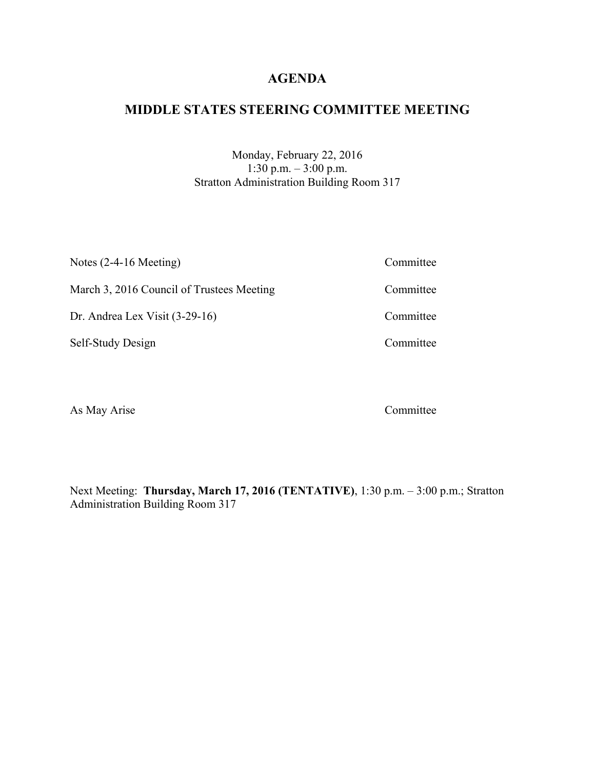# **MIDDLE STATES STEERING COMMITTEE MEETING**

Monday, February 22, 2016 1:30 p.m. – 3:00 p.m. Stratton Administration Building Room 317

| Notes $(2-4-16$ Meeting)                  | Committee |
|-------------------------------------------|-----------|
| March 3, 2016 Council of Trustees Meeting | Committee |
| Dr. Andrea Lex Visit $(3-29-16)$          | Committee |
| Self-Study Design                         | Committee |
|                                           |           |

As May Arise Committee

Next Meeting: **Thursday, March 17, 2016 (TENTATIVE)**, 1:30 p.m. – 3:00 p.m.; Stratton Administration Building Room 317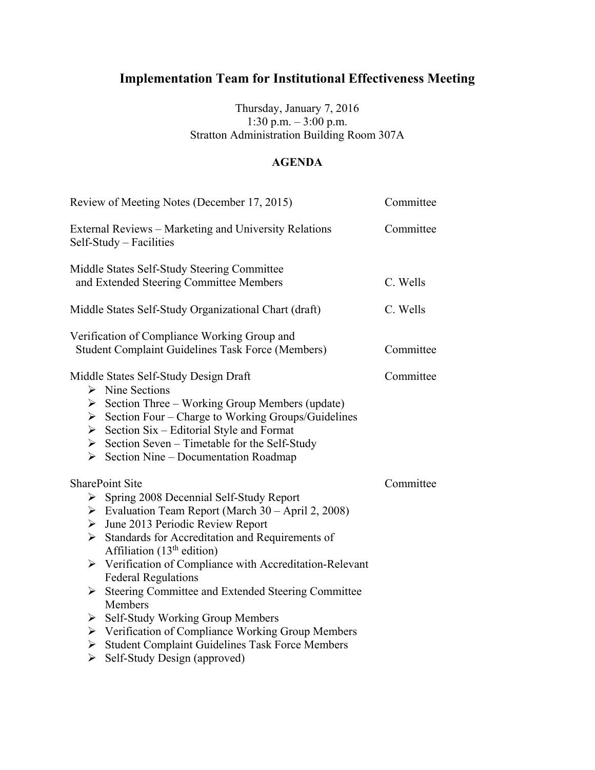### Thursday, January 7, 2016 1:30 p.m. – 3:00 p.m. Stratton Administration Building Room 307A

### **AGENDA**

| Review of Meeting Notes (December 17, 2015)                                                                                                                                                                                                                                                                                                                                                                                                                                                                                                                                                                                                                 | Committee |
|-------------------------------------------------------------------------------------------------------------------------------------------------------------------------------------------------------------------------------------------------------------------------------------------------------------------------------------------------------------------------------------------------------------------------------------------------------------------------------------------------------------------------------------------------------------------------------------------------------------------------------------------------------------|-----------|
| External Reviews – Marketing and University Relations<br>Self-Study – Facilities                                                                                                                                                                                                                                                                                                                                                                                                                                                                                                                                                                            | Committee |
| Middle States Self-Study Steering Committee<br>and Extended Steering Committee Members                                                                                                                                                                                                                                                                                                                                                                                                                                                                                                                                                                      | C. Wells  |
| Middle States Self-Study Organizational Chart (draft)                                                                                                                                                                                                                                                                                                                                                                                                                                                                                                                                                                                                       | C. Wells  |
| Verification of Compliance Working Group and<br><b>Student Complaint Guidelines Task Force (Members)</b>                                                                                                                                                                                                                                                                                                                                                                                                                                                                                                                                                    | Committee |
| Middle States Self-Study Design Draft<br>$\triangleright$ Nine Sections<br>$\triangleright$ Section Three – Working Group Members (update)<br>Section Four – Charge to Working Groups/Guidelines<br>Section Six – Editorial Style and Format<br>$\triangleright$ Section Seven – Timetable for the Self-Study<br>$\triangleright$ Section Nine – Documentation Roadmap                                                                                                                                                                                                                                                                                      | Committee |
| <b>SharePoint Site</b><br>$\triangleright$ Spring 2008 Decennial Self-Study Report<br>$\triangleright$ Evaluation Team Report (March 30 – April 2, 2008)<br>$\triangleright$ June 2013 Periodic Review Report<br>Standards for Accreditation and Requirements of<br>Affiliation $(13th$ edition)<br>$\triangleright$ Verification of Compliance with Accreditation-Relevant<br><b>Federal Regulations</b><br>> Steering Committee and Extended Steering Committee<br>Members<br>$\triangleright$ Self-Study Working Group Members<br>$\triangleright$ Verification of Compliance Working Group Members<br>> Student Complaint Guidelines Task Force Members | Committee |
| $\triangleright$ Self-Study Design (approved)                                                                                                                                                                                                                                                                                                                                                                                                                                                                                                                                                                                                               |           |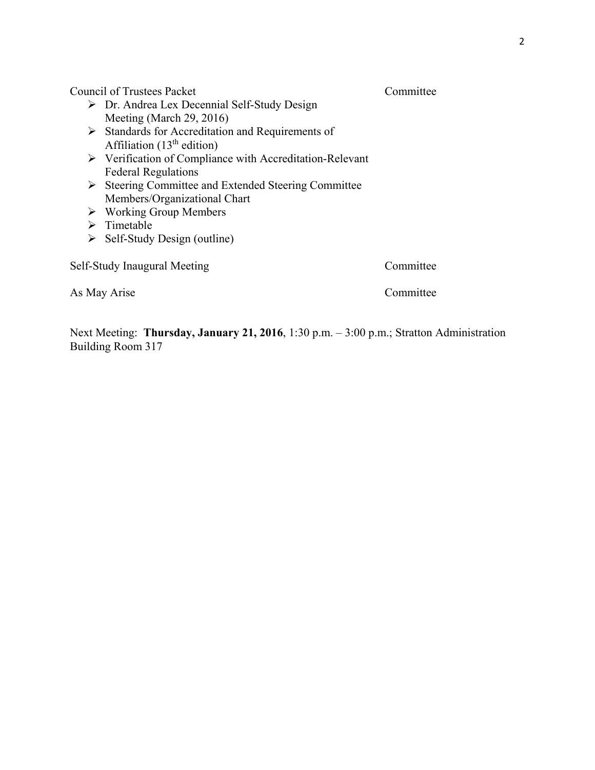Council of Trustees Packet Committee

- Dr. Andrea Lex Decennial Self-Study Design Meeting (March 29, 2016)
- > Standards for Accreditation and Requirements of Affiliation  $(13<sup>th</sup>$  edition)
- Verification of Compliance with Accreditation-Relevant Federal Regulations
- Steering Committee and Extended Steering Committee Members/Organizational Chart
- $\triangleright$  Working Group Members
- $\triangleright$  Timetable
- $\triangleright$  Self-Study Design (outline)

Self-Study Inaugural Meeting Committee

As May Arise Committee

Next Meeting: **Thursday, January 21, 2016**, 1:30 p.m. – 3:00 p.m.; Stratton Administration Building Room 317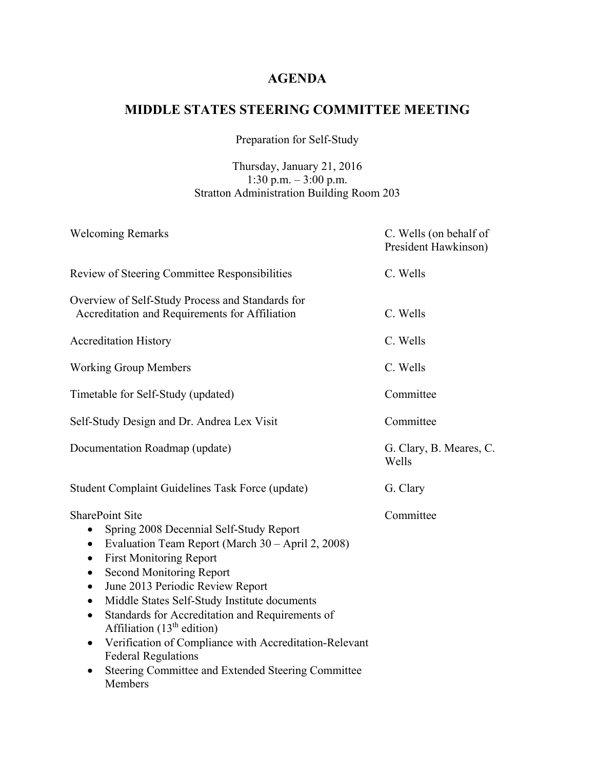# **MIDDLE STATES STEERING COMMITTEE MEETING**

Preparation for Self-Study

### Thursday, January 21, 2016 1:30 p.m. – 3:00 p.m. Stratton Administration Building Room 203

| <b>Welcoming Remarks</b>                                                                                                                                                                                                                                                                                                                                                                                                                                                                                                                                                                                                                         | C. Wells (on behalf of<br>President Hawkinson) |
|--------------------------------------------------------------------------------------------------------------------------------------------------------------------------------------------------------------------------------------------------------------------------------------------------------------------------------------------------------------------------------------------------------------------------------------------------------------------------------------------------------------------------------------------------------------------------------------------------------------------------------------------------|------------------------------------------------|
| Review of Steering Committee Responsibilities                                                                                                                                                                                                                                                                                                                                                                                                                                                                                                                                                                                                    | C. Wells                                       |
| Overview of Self-Study Process and Standards for<br>Accreditation and Requirements for Affiliation                                                                                                                                                                                                                                                                                                                                                                                                                                                                                                                                               | C. Wells                                       |
| <b>Accreditation History</b>                                                                                                                                                                                                                                                                                                                                                                                                                                                                                                                                                                                                                     | C. Wells                                       |
| <b>Working Group Members</b>                                                                                                                                                                                                                                                                                                                                                                                                                                                                                                                                                                                                                     | C. Wells                                       |
| Timetable for Self-Study (updated)                                                                                                                                                                                                                                                                                                                                                                                                                                                                                                                                                                                                               | Committee                                      |
| Self-Study Design and Dr. Andrea Lex Visit                                                                                                                                                                                                                                                                                                                                                                                                                                                                                                                                                                                                       | Committee                                      |
| Documentation Roadmap (update)                                                                                                                                                                                                                                                                                                                                                                                                                                                                                                                                                                                                                   | G. Clary, B. Meares, C.<br>Wells               |
| <b>Student Complaint Guidelines Task Force (update)</b>                                                                                                                                                                                                                                                                                                                                                                                                                                                                                                                                                                                          | G. Clary                                       |
| <b>SharePoint Site</b><br>Spring 2008 Decennial Self-Study Report<br>$\bullet$<br>Evaluation Team Report (March 30 – April 2, 2008)<br>$\bullet$<br><b>First Monitoring Report</b><br>$\bullet$<br><b>Second Monitoring Report</b><br>$\bullet$<br>June 2013 Periodic Review Report<br>$\bullet$<br>Middle States Self-Study Institute documents<br>$\bullet$<br>Standards for Accreditation and Requirements of<br>$\bullet$<br>Affiliation $(13th$ edition)<br>Verification of Compliance with Accreditation-Relevant<br>$\bullet$<br><b>Federal Regulations</b><br>Steering Committee and Extended Steering Committee<br>$\bullet$<br>Members | Committee                                      |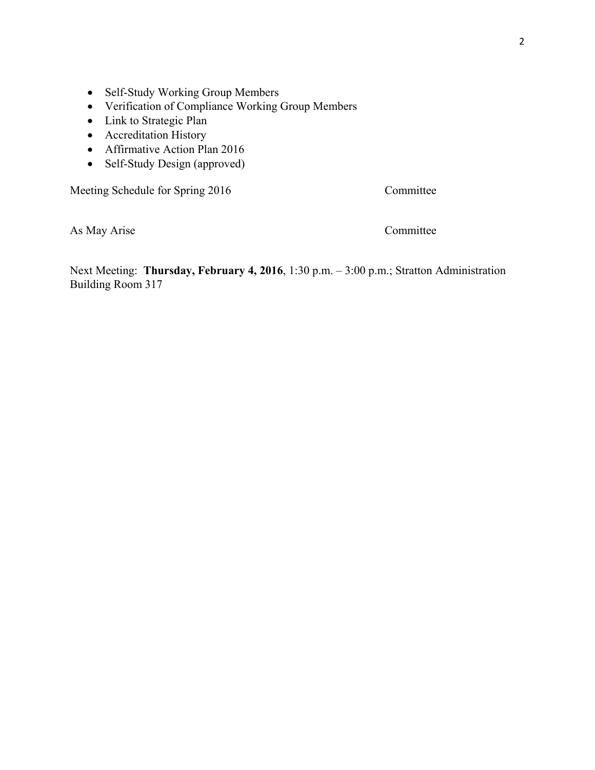- Self-Study Working Group Members
- Verification of Compliance Working Group Members
- Link to Strategic Plan
- Accreditation History
- Affirmative Action Plan 2016
- Self-Study Design (approved)

Meeting Schedule for Spring 2016 Committee

As May Arise Committee

Next Meeting: **Thursday, February 4, 2016**, 1:30 p.m. – 3:00 p.m.; Stratton Administration Building Room 317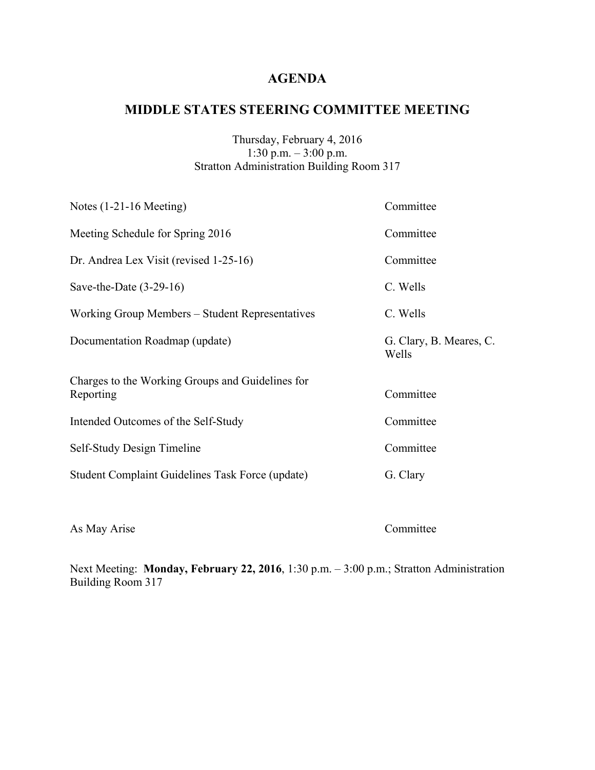# **MIDDLE STATES STEERING COMMITTEE MEETING**

### Thursday, February 4, 2016 1:30 p.m. – 3:00 p.m. Stratton Administration Building Room 317

| Notes $(1-21-16$ Meeting)                                     | Committee                        |
|---------------------------------------------------------------|----------------------------------|
| Meeting Schedule for Spring 2016                              | Committee                        |
| Dr. Andrea Lex Visit (revised 1-25-16)                        | Committee                        |
| Save-the-Date $(3-29-16)$                                     | C. Wells                         |
| Working Group Members – Student Representatives               | C. Wells                         |
| Documentation Roadmap (update)                                | G. Clary, B. Meares, C.<br>Wells |
| Charges to the Working Groups and Guidelines for<br>Reporting | Committee                        |
| Intended Outcomes of the Self-Study                           | Committee                        |
| Self-Study Design Timeline                                    | Committee                        |
| Student Complaint Guidelines Task Force (update)              | G. Clary                         |

As May Arise Committee

Next Meeting: **Monday, February 22, 2016**, 1:30 p.m. – 3:00 p.m.; Stratton Administration Building Room 317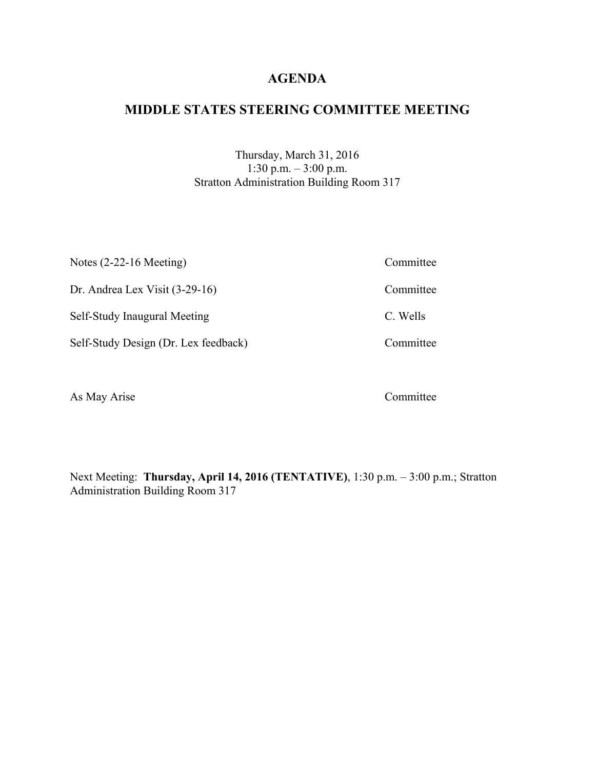## **MIDDLE STATES STEERING COMMITTEE MEETING**

Thursday, March 31, 2016 1:30 p.m. – 3:00 p.m. Stratton Administration Building Room 317

| Notes $(2-22-16$ Meeting)            | Committee |
|--------------------------------------|-----------|
| Dr. Andrea Lex Visit $(3-29-16)$     | Committee |
| Self-Study Inaugural Meeting         | C. Wells  |
| Self-Study Design (Dr. Lex feedback) | Committee |
|                                      |           |

As May Arise Committee

Next Meeting: **Thursday, April 14, 2016 (TENTATIVE)**, 1:30 p.m. – 3:00 p.m.; Stratton Administration Building Room 317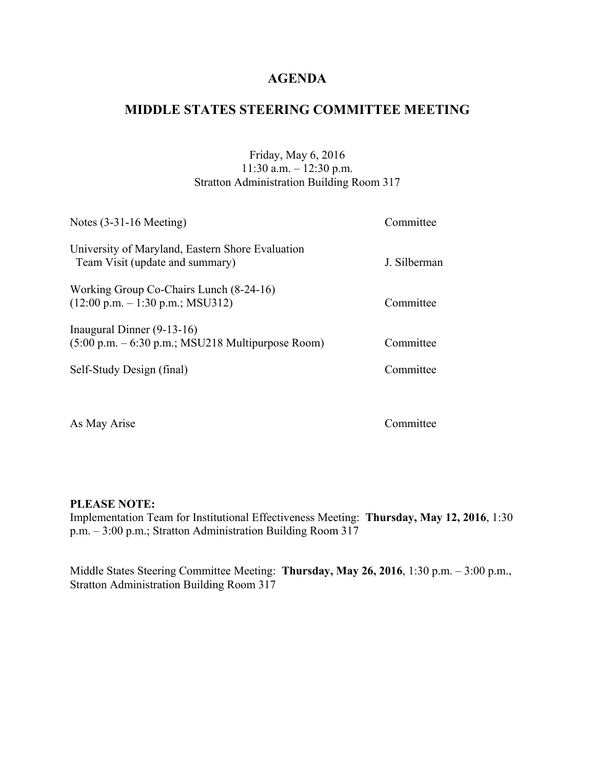# **MIDDLE STATES STEERING COMMITTEE MEETING**

### Friday, May 6, 2016 11:30 a.m. – 12:30 p.m. Stratton Administration Building Room 317

| Notes $(3-31-16$ Meeting)                                                                                  | Committee    |
|------------------------------------------------------------------------------------------------------------|--------------|
| University of Maryland, Eastern Shore Evaluation<br>Team Visit (update and summary)                        | J. Silberman |
| Working Group Co-Chairs Lunch (8-24-16)<br>$(12:00 \text{ p.m.} - 1:30 \text{ p.m.}; \text{MSU312})$       | Committee    |
| Inaugural Dinner $(9-13-16)$<br>$(5:00 \text{ p.m.} - 6:30 \text{ p.m.}; \text{MSU218}$ Multipurpose Room) | Committee    |
| Self-Study Design (final)                                                                                  | Committee    |
|                                                                                                            |              |

As May Arise Committee

#### **PLEASE NOTE:**

Implementation Team for Institutional Effectiveness Meeting: **Thursday, May 12, 2016**, 1:30 p.m. – 3:00 p.m.; Stratton Administration Building Room 317

Middle States Steering Committee Meeting: **Thursday, May 26, 2016**, 1:30 p.m. – 3:00 p.m., Stratton Administration Building Room 317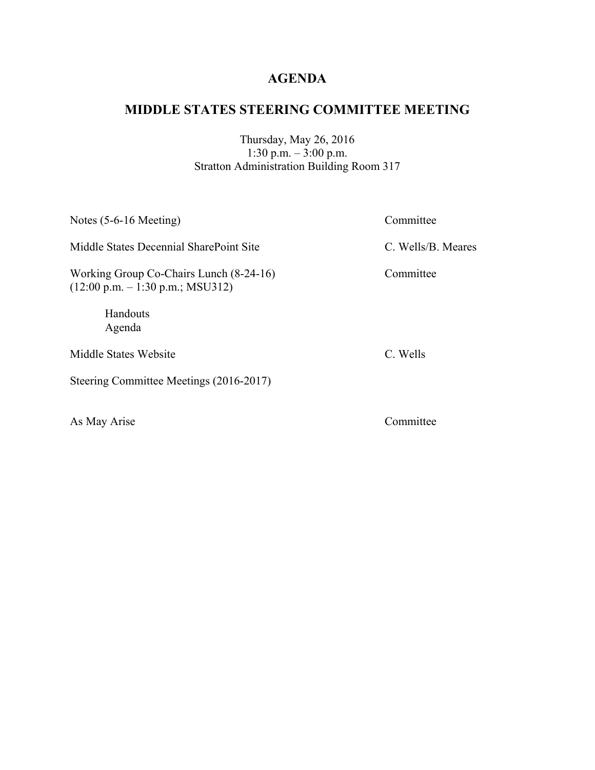# **MIDDLE STATES STEERING COMMITTEE MEETING**

Thursday, May 26, 2016 1:30 p.m. – 3:00 p.m. Stratton Administration Building Room 317

| Notes $(5-6-16$ Meeting)                                                                             | Committee          |
|------------------------------------------------------------------------------------------------------|--------------------|
| Middle States Decennial SharePoint Site                                                              | C. Wells/B. Meares |
| Working Group Co-Chairs Lunch (8-24-16)<br>$(12:00 \text{ p.m.} - 1:30 \text{ p.m.}; \text{MSU312})$ | Committee          |
| Handouts<br>Agenda                                                                                   |                    |
| Middle States Website                                                                                | C. Wells           |
| Steering Committee Meetings (2016-2017)                                                              |                    |

As May Arise Committee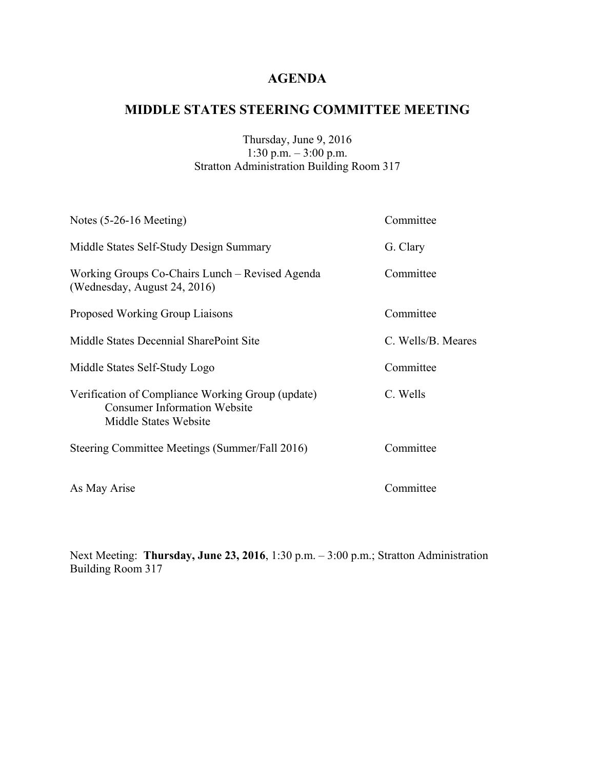# **MIDDLE STATES STEERING COMMITTEE MEETING**

### Thursday, June 9, 2016 1:30 p.m. – 3:00 p.m. Stratton Administration Building Room 317

| Notes $(5-26-16$ Meeting)                                                                                         | Committee          |
|-------------------------------------------------------------------------------------------------------------------|--------------------|
| Middle States Self-Study Design Summary                                                                           | G. Clary           |
| Working Groups Co-Chairs Lunch – Revised Agenda<br>(Wednesday, August 24, 2016)                                   | Committee          |
| <b>Proposed Working Group Liaisons</b>                                                                            | Committee          |
| Middle States Decennial SharePoint Site                                                                           | C. Wells/B. Meares |
| Middle States Self-Study Logo                                                                                     | Committee          |
| Verification of Compliance Working Group (update)<br><b>Consumer Information Website</b><br>Middle States Website | C. Wells           |
| Steering Committee Meetings (Summer/Fall 2016)                                                                    | Committee          |
| As May Arise                                                                                                      | Committee          |

Next Meeting: **Thursday, June 23, 2016**, 1:30 p.m. – 3:00 p.m.; Stratton Administration Building Room 317